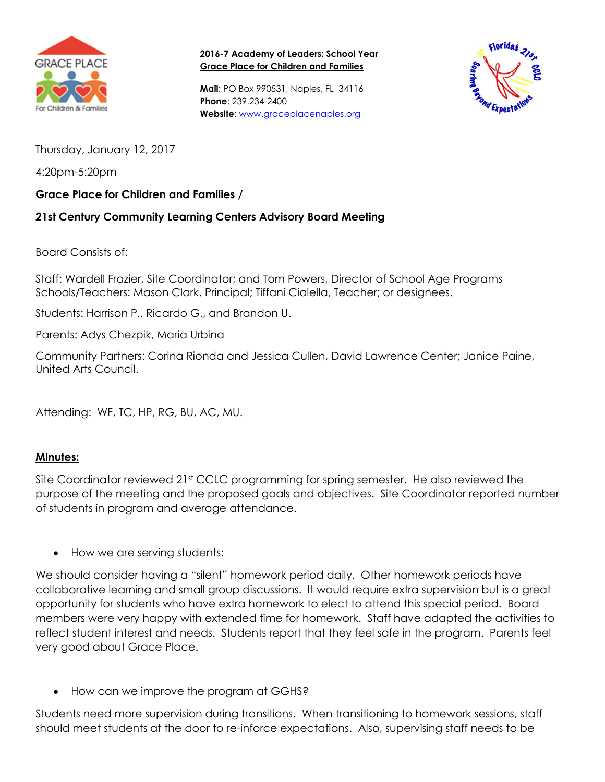

**2016-7 Academy of Leaders: School Year Grace Place for Children and Families**

**Mail**: PO Box 990531, Naples, FL 34116 **Phone**: 239.234-2400 **Website**: [www.graceplacenaples.org](http://www.graceplacenaples.org/)



Thursday, January 12, 2017

4:20pm-5:20pm

## **Grace Place for Children and Families /**

## **21st Century Community Learning Centers Advisory Board Meeting**

Board Consists of:

Staff: Wardell Frazier, Site Coordinator; and Tom Powers, Director of School Age Programs Schools/Teachers: Mason Clark, Principal; Tiffani Cialella, Teacher; or designees.

Students: Harrison P., Ricardo G., and Brandon U.

Parents: Adys Chezpik, Maria Urbina

Community Partners: Corina Rionda and Jessica Cullen, David Lawrence Center; Janice Paine, United Arts Council.

Attending: WF, TC, HP, RG, BU, AC, MU.

## **Minutes:**

Site Coordinator reviewed 21<sup>st</sup> CCLC programming for spring semester. He also reviewed the purpose of the meeting and the proposed goals and objectives. Site Coordinator reported number of students in program and average attendance.

• How we are serving students:

We should consider having a "silent" homework period daily. Other homework periods have collaborative learning and small group discussions. It would require extra supervision but is a great opportunity for students who have extra homework to elect to attend this special period. Board members were very happy with extended time for homework. Staff have adapted the activities to reflect student interest and needs. Students report that they feel safe in the program. Parents feel very good about Grace Place.

How can we improve the program at GGHS?

Students need more supervision during transitions. When transitioning to homework sessions, staff should meet students at the door to re-inforce expectations. Also, supervising staff needs to be